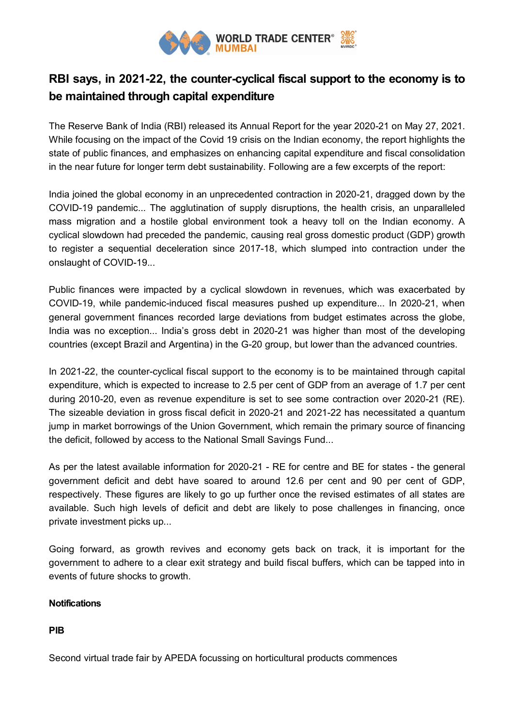

## **RBI says, in 2021-22, the counter-cyclical fiscal support to the economy is to be maintained through capital expenditure**

The Reserve Bank of India (RBI) released its Annual Report for the year 2020-21 on May 27, 2021. While focusing on the impact of the Covid 19 crisis on the Indian economy, the report highlights the state of public finances, and emphasizes on enhancing capital expenditure and fiscal consolidation in the near future for longer term debt sustainability. Following are a few excerpts of the report:

India joined the global economy in an unprecedented contraction in 2020-21, dragged down by the COVID-19 pandemic... The agglutination of supply disruptions, the health crisis, an unparalleled mass migration and a hostile global environment took a heavy toll on the Indian economy. A cyclical slowdown had preceded the pandemic, causing real gross domestic product (GDP) growth to register a sequential deceleration since 2017-18, which slumped into contraction under the onslaught of COVID-19...

Public finances were impacted by a cyclical slowdown in revenues, which was exacerbated by COVID-19, while pandemic-induced fiscal measures pushed up expenditure... In 2020-21, when general government finances recorded large deviations from budget estimates across the globe, India was no exception... India's gross debt in 2020-21 was higher than most of the developing countries (except Brazil and Argentina) in the G-20 group, but lower than the advanced countries.

In 2021-22, the counter-cyclical fiscal support to the economy is to be maintained through capital expenditure, which is expected to increase to 2.5 per cent of GDP from an average of 1.7 per cent during 2010-20, even as revenue expenditure is set to see some contraction over 2020-21 (RE). The sizeable deviation in gross fiscal deficit in 2020-21 and 2021-22 has necessitated a quantum jump in market borrowings of the Union Government, which remain the primary source of financing the deficit, followed by access to the National Small Savings Fund...

As per the latest available information for 2020-21 - RE for centre and BE for states - the general government deficit and debt have soared to around 12.6 per cent and 90 per cent of GDP, respectively. These figures are likely to go up further once the revised estimates of all states are available. Such high levels of deficit and debt are likely to pose challenges in financing, once private investment picks up...

Going forward, as growth revives and economy gets back on track, it is important for the government to adhere to a clear exit strategy and build fiscal buffers, which can be tapped into in events of future shocks to growth.

## **Notifications**

**PIB**

Second virtual trade fair by APEDA focussing on horticultural products commences